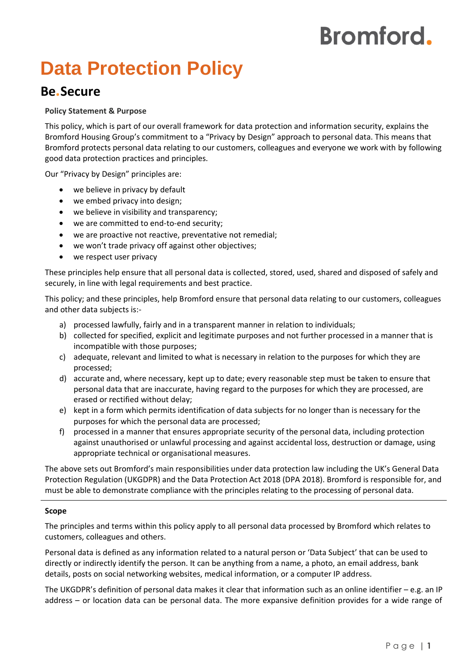# **Bromford.**

## **Data Protection Policy**

### **Be.Secure**

#### **Policy Statement & Purpose**

This policy, which is part of our overall framework for data protection and information security, explains the Bromford Housing Group's commitment to a "Privacy by Design" approach to personal data. This means that Bromford protects personal data relating to our customers, colleagues and everyone we work with by following good data protection practices and principles.

Our "Privacy by Design" principles are:

- we believe in privacy by default
- we embed privacy into design;
- we believe in visibility and transparency;
- we are committed to end-to-end security;
- we are proactive not reactive, preventative not remedial;
- we won't trade privacy off against other objectives;
- we respect user privacy

These principles help ensure that all personal data is collected, stored, used, shared and disposed of safely and securely, in line with legal requirements and best practice.

This policy; and these principles, help Bromford ensure that personal data relating to our customers, colleagues and other data subjects is:-

- a) processed lawfully, fairly and in a transparent manner in relation to individuals;
- b) collected for specified, explicit and legitimate purposes and not further processed in a manner that is incompatible with those purposes;
- c) adequate, relevant and limited to what is necessary in relation to the purposes for which they are processed;
- d) accurate and, where necessary, kept up to date; every reasonable step must be taken to ensure that personal data that are inaccurate, having regard to the purposes for which they are processed, are erased or rectified without delay;
- e) kept in a form which permits identification of data subjects for no longer than is necessary for the purposes for which the personal data are processed;
- f) processed in a manner that ensures appropriate security of the personal data, including protection against unauthorised or unlawful processing and against accidental loss, destruction or damage, using appropriate technical or organisational measures.

The above sets out Bromford's main responsibilities under data protection law including the UK's General Data Protection Regulation (UKGDPR) and the Data Protection Act 2018 (DPA 2018). Bromford is responsible for, and must be able to demonstrate compliance with the principles relating to the processing of personal data.

#### **Scope**

The principles and terms within this policy apply to all personal data processed by Bromford which relates to customers, colleagues and others.

Personal data is defined as any information related to a natural person or 'Data Subject' that can be used to directly or indirectly identify the person. It can be anything from a name, a photo, an email address, bank details, posts on social networking websites, medical information, or a computer IP address.

The UKGDPR's definition of personal data makes it clear that information such as an online identifier – e.g. an IP address – or location data can be personal data. The more expansive definition provides for a wide range of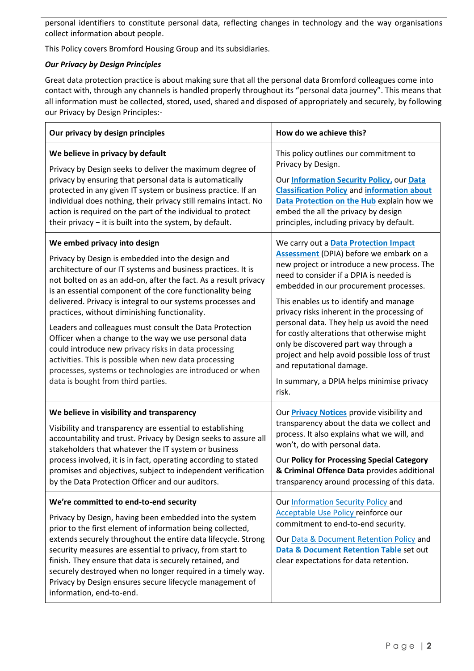personal identifiers to constitute personal data, reflecting changes in technology and the way organisations collect information about people.

This Policy covers Bromford Housing Group and its subsidiaries.

#### *Our Privacy by Design Principles*

Great data protection practice is about making sure that all the personal data Bromford colleagues come into contact with, through any channels is handled properly throughout its "personal data journey". This means that all information must be collected, stored, used, shared and disposed of appropriately and securely, by following our Privacy by Design Principles:-

| Our privacy by design principles                                                                                                                                                                                                                                                                                                                                                                                                                                                                                                                                                                                                                                                                                                          | How do we achieve this?                                                                                                                                                                                                                                                                                                                                                                                                                                                                                                                                                                       |
|-------------------------------------------------------------------------------------------------------------------------------------------------------------------------------------------------------------------------------------------------------------------------------------------------------------------------------------------------------------------------------------------------------------------------------------------------------------------------------------------------------------------------------------------------------------------------------------------------------------------------------------------------------------------------------------------------------------------------------------------|-----------------------------------------------------------------------------------------------------------------------------------------------------------------------------------------------------------------------------------------------------------------------------------------------------------------------------------------------------------------------------------------------------------------------------------------------------------------------------------------------------------------------------------------------------------------------------------------------|
| We believe in privacy by default<br>Privacy by Design seeks to deliver the maximum degree of<br>privacy by ensuring that personal data is automatically<br>protected in any given IT system or business practice. If an<br>individual does nothing, their privacy still remains intact. No<br>action is required on the part of the individual to protect<br>their privacy - it is built into the system, by default.                                                                                                                                                                                                                                                                                                                     | This policy outlines our commitment to<br>Privacy by Design.<br>Our <b>Information Security Policy</b> , our Data<br><b>Classification Policy and information about</b><br>Data Protection on the Hub explain how we<br>embed the all the privacy by design<br>principles, including privacy by default.                                                                                                                                                                                                                                                                                      |
| We embed privacy into design<br>Privacy by Design is embedded into the design and<br>architecture of our IT systems and business practices. It is<br>not bolted on as an add-on, after the fact. As a result privacy<br>is an essential component of the core functionality being<br>delivered. Privacy is integral to our systems processes and<br>practices, without diminishing functionality.<br>Leaders and colleagues must consult the Data Protection<br>Officer when a change to the way we use personal data<br>could introduce new privacy risks in data processing<br>activities. This is possible when new data processing<br>processes, systems or technologies are introduced or when<br>data is bought from third parties. | We carry out a <b>Data Protection Impact</b><br>Assessment (DPIA) before we embark on a<br>new project or introduce a new process. The<br>need to consider if a DPIA is needed is<br>embedded in our procurement processes.<br>This enables us to identify and manage<br>privacy risks inherent in the processing of<br>personal data. They help us avoid the need<br>for costly alterations that otherwise might<br>only be discovered part way through a<br>project and help avoid possible loss of trust<br>and reputational damage.<br>In summary, a DPIA helps minimise privacy<br>risk. |
| We believe in visibility and transparency<br>Visibility and transparency are essential to establishing<br>accountability and trust. Privacy by Design seeks to assure all<br>stakeholders that whatever the IT system or business<br>process involved, it is in fact, operating according to stated<br>promises and objectives, subject to independent verification<br>by the Data Protection Officer and our auditors.                                                                                                                                                                                                                                                                                                                   | Our <b>Privacy Notices</b> provide visibility and<br>transparency about the data we collect and<br>process. It also explains what we will, and<br>won't, do with personal data.<br>Our Policy for Processing Special Category<br>& Criminal Offence Data provides additional<br>transparency around processing of this data.                                                                                                                                                                                                                                                                  |
| We're committed to end-to-end security<br>Privacy by Design, having been embedded into the system<br>prior to the first element of information being collected,<br>extends securely throughout the entire data lifecycle. Strong<br>security measures are essential to privacy, from start to<br>finish. They ensure that data is securely retained, and<br>securely destroyed when no longer required in a timely way.<br>Privacy by Design ensures secure lifecycle management of<br>information, end-to-end.                                                                                                                                                                                                                           | Our Information Security Policy and<br>Acceptable Use Policy reinforce our<br>commitment to end-to-end security.<br>Our Data & Document Retention Policy and<br>Data & Document Retention Table set out<br>clear expectations for data retention.                                                                                                                                                                                                                                                                                                                                             |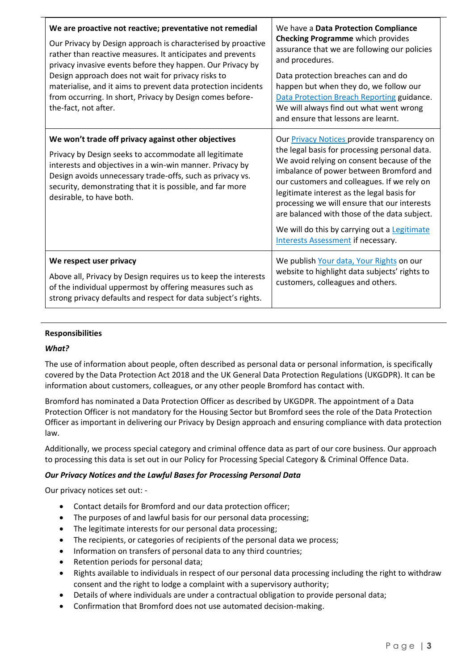| We are proactive not reactive; preventative not remedial<br>Our Privacy by Design approach is characterised by proactive<br>rather than reactive measures. It anticipates and prevents<br>privacy invasive events before they happen. Our Privacy by<br>Design approach does not wait for privacy risks to<br>materialise, and it aims to prevent data protection incidents<br>from occurring. In short, Privacy by Design comes before-<br>the-fact, not after. | We have a Data Protection Compliance<br><b>Checking Programme</b> which provides<br>assurance that we are following our policies<br>and procedures.<br>Data protection breaches can and do<br>happen but when they do, we follow our<br>Data Protection Breach Reporting guidance.<br>We will always find out what went wrong<br>and ensure that lessons are learnt.                                                                                                            |
|------------------------------------------------------------------------------------------------------------------------------------------------------------------------------------------------------------------------------------------------------------------------------------------------------------------------------------------------------------------------------------------------------------------------------------------------------------------|---------------------------------------------------------------------------------------------------------------------------------------------------------------------------------------------------------------------------------------------------------------------------------------------------------------------------------------------------------------------------------------------------------------------------------------------------------------------------------|
| We won't trade off privacy against other objectives<br>Privacy by Design seeks to accommodate all legitimate<br>interests and objectives in a win-win manner. Privacy by<br>Design avoids unnecessary trade-offs, such as privacy vs.<br>security, demonstrating that it is possible, and far more<br>desirable, to have both.                                                                                                                                   | Our <b>Privacy Notices</b> provide transparency on<br>the legal basis for processing personal data.<br>We avoid relying on consent because of the<br>imbalance of power between Bromford and<br>our customers and colleagues. If we rely on<br>legitimate interest as the legal basis for<br>processing we will ensure that our interests<br>are balanced with those of the data subject.<br>We will do this by carrying out a Legitimate<br>Interests Assessment if necessary. |
| We respect user privacy<br>Above all, Privacy by Design requires us to keep the interests<br>of the individual uppermost by offering measures such as<br>strong privacy defaults and respect for data subject's rights.                                                                                                                                                                                                                                          | We publish Your data, Your Rights on our<br>website to highlight data subjects' rights to<br>customers, colleagues and others.                                                                                                                                                                                                                                                                                                                                                  |

#### **Responsibilities**

#### *What?*

The use of information about people, often described as personal data or personal information, is specifically covered by the Data Protection Act 2018 and the UK General Data Protection Regulations (UKGDPR). It can be information about customers, colleagues, or any other people Bromford has contact with.

Bromford has nominated a Data Protection Officer as described by UKGDPR. The appointment of a Data Protection Officer is not mandatory for the Housing Sector but Bromford sees the role of the Data Protection Officer as important in delivering our Privacy by Design approach and ensuring compliance with data protection law.

Additionally, we process special category and criminal offence data as part of our core business. Our approach to processing this data is set out in our Policy for Processing Special Category & Criminal Offence Data.

#### *Our Privacy Notices and the Lawful Bases for Processing Personal Data*

Our privacy notices set out: -

- Contact details for Bromford and our data protection officer;
- The purposes of and lawful basis for our personal data processing;
- The legitimate interests for our personal data processing;
- The recipients, or categories of recipients of the personal data we process;
- Information on transfers of personal data to any third countries;
- Retention periods for personal data;
- Rights available to individuals in respect of our personal data processing including the right to withdraw consent and the right to lodge a complaint with a supervisory authority;
- Details of where individuals are under a contractual obligation to provide personal data;
- Confirmation that Bromford does not use automated decision-making.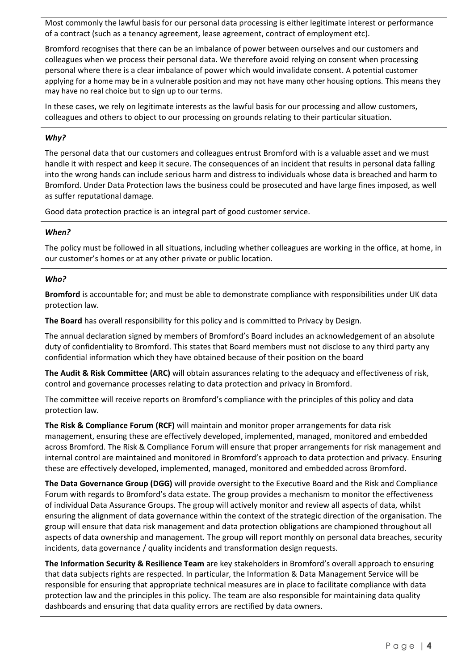Most commonly the lawful basis for our personal data processing is either legitimate interest or performance of a contract (such as a tenancy agreement, lease agreement, contract of employment etc).

Bromford recognises that there can be an imbalance of power between ourselves and our customers and colleagues when we process their personal data. We therefore avoid relying on consent when processing personal where there is a clear imbalance of power which would invalidate consent. A potential customer applying for a home may be in a vulnerable position and may not have many other housing options. This means they may have no real choice but to sign up to our terms.

In these cases, we rely on legitimate interests as the lawful basis for our processing and allow customers, colleagues and others to object to our processing on grounds relating to their particular situation.

#### *Why?*

The personal data that our customers and colleagues entrust Bromford with is a valuable asset and we must handle it with respect and keep it secure. The consequences of an incident that results in personal data falling into the wrong hands can include serious harm and distress to individuals whose data is breached and harm to Bromford. Under Data Protection laws the business could be prosecuted and have large fines imposed, as well as suffer reputational damage.

Good data protection practice is an integral part of good customer service.

#### *When?*

The policy must be followed in all situations, including whether colleagues are working in the office, at home, in our customer's homes or at any other private or public location.

#### *Who?*

**Bromford** is accountable for; and must be able to demonstrate compliance with responsibilities under UK data protection law.

**The Board** has overall responsibility for this policy and is committed to Privacy by Design.

The annual declaration signed by members of Bromford's Board includes an acknowledgement of an absolute duty of confidentiality to Bromford. This states that Board members must not disclose to any third party any confidential information which they have obtained because of their position on the board

**The Audit & Risk Committee (ARC)** will obtain assurances relating to the adequacy and effectiveness of risk, control and governance processes relating to data protection and privacy in Bromford.

The committee will receive reports on Bromford's compliance with the principles of this policy and data protection law.

**The Risk & Compliance Forum (RCF)** will maintain and monitor proper arrangements for data risk management, ensuring these are effectively developed, implemented, managed, monitored and embedded across Bromford. The Risk & Compliance Forum will ensure that proper arrangements for risk management and internal control are maintained and monitored in Bromford's approach to data protection and privacy. Ensuring these are effectively developed, implemented, managed, monitored and embedded across Bromford.

**The Data Governance Group (DGG)** will provide oversight to the Executive Board and the Risk and Compliance Forum with regards to Bromford's data estate. The group provides a mechanism to monitor the effectiveness of individual Data Assurance Groups. The group will actively monitor and review all aspects of data, whilst ensuring the alignment of data governance within the context of the strategic direction of the organisation. The group will ensure that data risk management and data protection obligations are championed throughout all aspects of data ownership and management. The group will report monthly on personal data breaches, security incidents, data governance / quality incidents and transformation design requests.

**The Information Security & Resilience Team** are key stakeholders in Bromford's overall approach to ensuring that data subjects rights are respected. In particular, the Information & Data Management Service will be responsible for ensuring that appropriate technical measures are in place to facilitate compliance with data protection law and the principles in this policy. The team are also responsible for maintaining data quality dashboards and ensuring that data quality errors are rectified by data owners.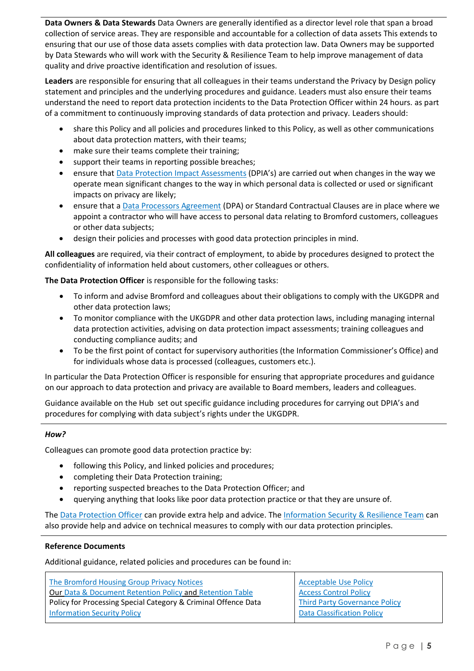**Data Owners & Data Stewards** Data Owners are generally identified as a director level role that span a broad collection of service areas. They are responsible and accountable for a collection of data assets This extends to ensuring that our use of those data assets complies with data protection law. Data Owners may be supported by Data Stewards who will work with the Security & Resilience Team to help improve management of data quality and drive proactive identification and resolution of issues.

**Leaders** are responsible for ensuring that all colleagues in their teams understand the Privacy by Design policy statement and principles and the underlying procedures and guidance. Leaders must also ensure their teams understand the need to report data protection incidents to the Data Protection Officer within 24 hours. as part of a commitment to continuously improving standards of data protection and privacy. Leaders should:

- share this Policy and all policies and procedures linked to this Policy, as well as other communications about data protection matters, with their teams;
- make sure their teams complete their training;
- support their teams in reporting possible breaches;
- ensure that [Data Protection Impact Assessments](https://bromford.sharepoint.com/:w:/r/sites/EdmLive/Corporate%20Documents/DPIA%20Screening%20Questionnaire.docx?d=w4a9e4e3327b74852aab55b92e246ac7e&csf=1&web=1&e=zhVKw1) (DPIA's) are carried out when changes in the way we operate mean significant changes to the way in which personal data is collected or used or significant impacts on privacy are likely;
- ensure that a [Data Processors Agreement](https://bromford.sharepoint.com/:w:/r/sites/EdmLive/Corporate%20Documents/Data%20Processors%20Agreement.docx?d=w1d4454d43ec74b24928555a4a2ab2536&csf=1&web=1&e=QosFWP) (DPA) or Standard Contractual Clauses are in place where we appoint a contractor who will have access to personal data relating to Bromford customers, colleagues or other data subjects;
- design their policies and processes with good data protection principles in mind.

**All colleagues** are required, via their contract of employment, to abide by procedures designed to protect the confidentiality of information held about customers, other colleagues or others.

**The Data Protection Officer** is responsible for the following tasks:

- To inform and advise Bromford and colleagues about their obligations to comply with the UKGDPR and other data protection laws;
- To monitor compliance with the UKGDPR and other data protection laws, including managing internal data protection activities, advising on data protection impact assessments; training colleagues and conducting compliance audits; and
- To be the first point of contact for supervisory authorities (the Information Commissioner's Office) and for individuals whose data is processed (colleagues, customers etc.).

In particular the Data Protection Officer is responsible for ensuring that appropriate procedures and guidance on our approach to data protection and privacy are available to Board members, leaders and colleagues.

Guidance available on the Hub set out specific guidance including procedures for carrying out DPIA's and procedures for complying with data subject's rights under the UKGDPR.

#### *How?*

Colleagues can promote good data protection practice by:

- following this Policy, and linked policies and procedures;
- completing their Data Protection training;
- reporting suspected breaches to the Data Protection Officer; and
- querying anything that looks like poor data protection practice or that they are unsure of.

Th[e Data Protection Officer](mailto:dpo@bromford.co.uk) can provide extra help and advice. The [Information Security & Resilience Team](mailto:information.security@bromford.co.uk) can also provide help and advice on technical measures to comply with our data protection principles.

#### **Reference Documents**

Additional guidance, related policies and procedures can be found in:

| The Bromford Housing Group Privacy Notices                     | <b>Acceptable Use Policy</b>      |
|----------------------------------------------------------------|-----------------------------------|
| Our Data & Document Retention Policy and Retention Table       | <b>Access Control Policy</b>      |
| Policy for Processing Special Category & Criminal Offence Data | Third Party Governance Policy     |
| <b>Information Security Policy</b>                             | <b>Data Classification Policy</b> |